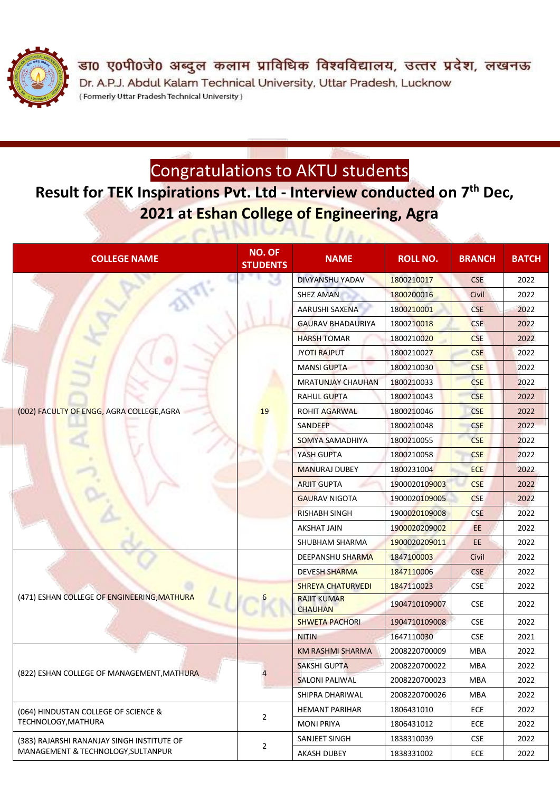

डा0 ए0पी0जे0 अब्दुल कलाम प्राविधिक विश्वविद्यालय, उत्तर प्रदेश, लखनऊ Dr. A.P.J. Abdul Kalam Technical University, Uttar Pradesh, Lucknow (Formerly Uttar Pradesh Technical University)

### Congratulations to AKTU students

### **Result for TEK Inspirations Pvt. Ltd - Interview conducted on 7 th Dec, 2021 at Eshan College of Engineering, Agra**

| <b>COLLEGE NAME</b>                         | <b>NO. OF</b><br><b>STUDENTS</b> | <b>NAME</b>                          | <b>ROLL NO.</b> | <b>BRANCH</b> | <b>BATCH</b> |
|---------------------------------------------|----------------------------------|--------------------------------------|-----------------|---------------|--------------|
|                                             |                                  | DIVYANSHU YADAV                      | 1800210017      | <b>CSE</b>    | 2022         |
|                                             |                                  | <b>SHEZ AMAN</b>                     | 1800200016      | Civil         | 2022         |
|                                             |                                  | AARUSHI SAXENA                       | 1800210001      | <b>CSE</b>    | 2022         |
|                                             |                                  | <b>GAURAV BHADAURIYA</b>             | 1800210018      | <b>CSE</b>    | 2022         |
|                                             |                                  | <b>HARSH TOMAR</b>                   | 1800210020      | <b>CSE</b>    | 2022         |
|                                             |                                  | <b>JYOTI RAJPUT</b>                  | 1800210027      | <b>CSE</b>    | 2022         |
|                                             |                                  | <b>MANSI GUPTA</b>                   | 1800210030      | <b>CSE</b>    | 2022         |
|                                             |                                  | <b>MRATUNJAY CHAUHAN</b>             | 1800210033      | <b>CSE</b>    | 2022         |
|                                             |                                  | <b>RAHUL GUPTA</b>                   | 1800210043      | <b>CSE</b>    | 2022         |
| (002) FACULTY OF ENGG, AGRA COLLEGE, AGRA   | 19                               | <b>ROHIT AGARWAL</b>                 | 1800210046      | <b>CSE</b>    | 2022         |
|                                             |                                  | SANDEEP                              | 1800210048      | <b>CSE</b>    | 2022         |
|                                             |                                  | SOMYA SAMADHIYA                      | 1800210055      | <b>CSE</b>    | 2022         |
|                                             |                                  | YASH GUPTA                           | 1800210058      | <b>CSE</b>    | 2022         |
|                                             |                                  | <b>MANURAJ DUBEY</b>                 | 1800231004      | <b>ECE</b>    | 2022         |
|                                             |                                  | <b>ARJIT GUPTA</b>                   | 1900020109003   | <b>CSE</b>    | 2022         |
|                                             |                                  | <b>GAURAV NIGOTA</b>                 | 1900020109005   | <b>CSE</b>    | 2022         |
|                                             |                                  | <b>RISHABH SINGH</b>                 | 1900020109008   | <b>CSE</b>    | 2022         |
|                                             |                                  | <b>AKSHAT JAIN</b>                   | 1900020209002   | EE            | 2022         |
|                                             |                                  | SHUBHAM SHARMA                       | 1900020209011   | EE            | 2022         |
|                                             |                                  | DEEPANSHU SHARMA                     | 1847100003      | Civil         | 2022         |
|                                             |                                  | <b>DEVESH SHARMA</b>                 | 1847110006      | <b>CSE</b>    | 2022         |
|                                             |                                  | <b>SHREYA CHATURVEDI</b>             | 1847110023      | <b>CSE</b>    | 2022         |
| (471) ESHAN COLLEGE OF ENGINEERING, MATHURA |                                  | <b>RAJIT KUMAR</b><br><b>CHAUHAN</b> | 1904710109007   | <b>CSE</b>    | 2022         |
|                                             |                                  | <b>SHWETA PACHORI</b>                | 1904710109008   | <b>CSE</b>    | 2022         |
|                                             |                                  | <b>NITIN</b>                         | 1647110030      | <b>CSE</b>    | 2021         |
|                                             |                                  | KM RASHMI SHARMA                     | 2008220700009   | <b>MBA</b>    | 2022         |
|                                             | 4                                | <b>SAKSHI GUPTA</b>                  | 2008220700022   | MBA           | 2022         |
| (822) ESHAN COLLEGE OF MANAGEMENT, MATHURA  |                                  | <b>SALONI PALIWAL</b>                | 2008220700023   | MBA           | 2022         |
|                                             |                                  | SHIPRA DHARIWAL                      | 2008220700026   | MBA           | 2022         |
| (064) HINDUSTAN COLLEGE OF SCIENCE &        | $\overline{2}$                   | <b>HEMANT PARIHAR</b>                | 1806431010      | <b>ECE</b>    | 2022         |
| TECHNOLOGY, MATHURA                         |                                  | <b>MONI PRIYA</b>                    | 1806431012      | <b>ECE</b>    | 2022         |
| (383) RAJARSHI RANANJAY SINGH INSTITUTE OF  | $\overline{2}$                   | SANJEET SINGH                        | 1838310039      | <b>CSE</b>    | 2022         |
| MANAGEMENT & TECHNOLOGY, SULTANPUR          |                                  | AKASH DUBEY                          | 1838331002      | <b>ECE</b>    | 2022         |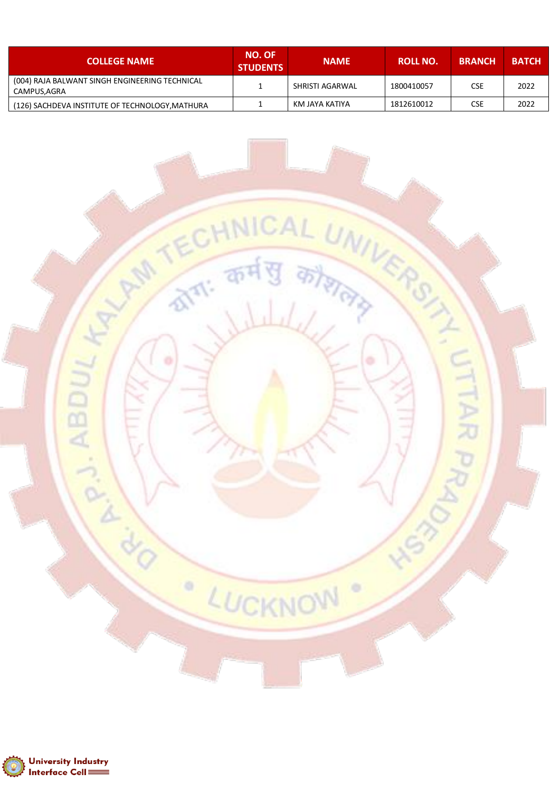| <b>COLLEGE NAME</b>                                           | <b>NO. OF</b><br><b>STUDENTS</b> | <b>NAME</b>     | ROLL NO.   | <b>BRANCH</b> | <b>BATCH</b> |
|---------------------------------------------------------------|----------------------------------|-----------------|------------|---------------|--------------|
| (004) RAJA BALWANT SINGH ENGINEERING TECHNICAL<br>CAMPUS,AGRA |                                  | SHRISTI AGARWAL | 1800410057 | CSE           | 2022         |
| (126) SACHDEVA INSTITUTE OF TECHNOLOGY, MATHURA               |                                  | KM JAYA KATIYA  | 1812610012 | CSE           | 2022         |

कर्म

LUCKNOW

 $\circ$ 

HALAM TECH

ACTED ABDULT

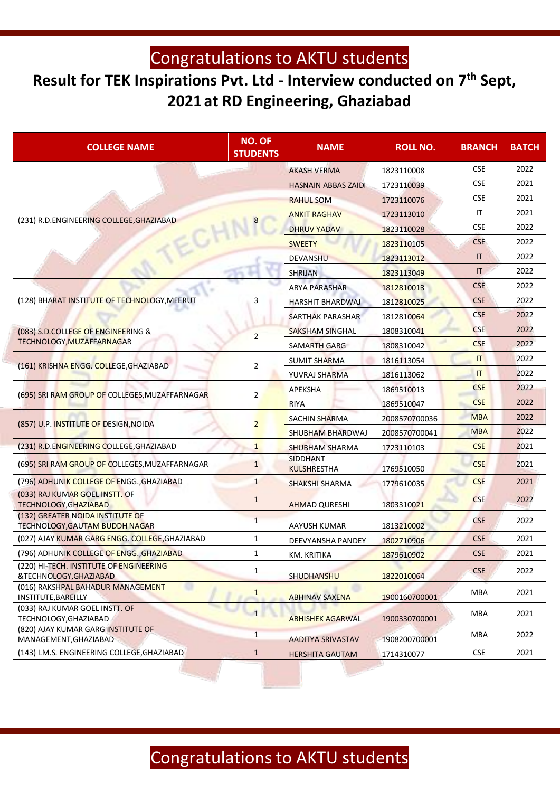## Congratulations to AKTU students

## **Result for TEK Inspirations Pvt. Ltd - Interview conducted on 7th Sept, 2021 at RD Engineering, Ghaziabad**

| <b>NO. OF</b><br><b>COLLEGE NAME</b><br><b>STUDENTS</b>            |                | <b>NAME</b>                    | <b>ROLL NO.</b> | <b>BRANCH</b>         | <b>BATCH</b> |
|--------------------------------------------------------------------|----------------|--------------------------------|-----------------|-----------------------|--------------|
|                                                                    |                | <b>AKASH VERMA</b>             | 1823110008      | <b>CSE</b>            | 2022         |
|                                                                    |                | <b>HASNAIN ABBAS ZAIDI</b>     | 1723110039      | <b>CSE</b>            | 2021         |
|                                                                    |                | <b>RAHUL SOM</b>               | 1723110076      | <b>CSE</b>            | 2021         |
| (231) R.D.ENGINEERING COLLEGE, GHAZIABAD                           |                | <b>ANKIT RAGHAV</b>            | 1723113010      | IT                    | 2021         |
|                                                                    |                | <b>DHRUV YADAV</b>             | 1823110028      | <b>CSE</b>            | 2022         |
|                                                                    |                | <b>SWEETY</b>                  | 1823110105      | <b>CSE</b>            | 2022         |
|                                                                    |                | <b>DEVANSHU</b>                | 1823113012      | IT                    | 2022         |
|                                                                    |                | <b>SHRIJAN</b>                 | 1823113049      | $\mathsf{I}$          | 2022         |
|                                                                    |                | <b>ARYA PARASHAR</b>           | 1812810013      | <b>CSE</b>            | 2022         |
| (128) BHARAT INSTITUTE OF TECHNOLOGY, MEERUT                       | 3              | <b>HARSHIT BHARDWAJ</b>        | 1812810025      | <b>CSE</b>            | 2022         |
|                                                                    |                | SARTHAK PARASHAR               | 1812810064      | <b>CSE</b>            | 2022         |
| (083) S.D.COLLEGE OF ENGINEERING &                                 | $\overline{2}$ | <b>SAKSHAM SINGHAL</b>         | 1808310041      | <b>CSE</b>            | 2022         |
| TECHNOLOGY, MUZAFFARNAGAR                                          |                | SAMARTH GARG                   | 1808310042      | <b>CSE</b>            | 2022         |
| (161) KRISHNA ENGG. COLLEGE, GHAZIABAD                             | 2              | <b>SUMIT SHARMA</b>            | 1816113054      | T                     | 2022         |
|                                                                    |                | YUVRAJ SHARMA                  | 1816113062      | $\mathsf{I}$          | 2022         |
| (695) SRI RAM GROUP OF COLLEGES, MUZAFFARNAGAR                     | $\overline{2}$ | APEKSHA                        | 1869510013      | <b>CSE</b>            | 2022         |
|                                                                    |                | <b>RIYA</b>                    | 1869510047      | <b>CSE</b>            | 2022         |
|                                                                    | $\overline{2}$ | <b>SACHIN SHARMA</b>           | 2008570700036   | <b>MBA</b>            | 2022         |
| (857) U.P. INSTITUTE OF DESIGN, NOIDA                              |                | <b>SHUBHAM BHARDWAJ</b>        | 2008570700041   | <b>MBA</b>            | 2022         |
| (231) R.D.ENGINEERING COLLEGE, GHAZIABAD                           | $\mathbf{1}$   | <b>SHUBHAM SHARMA</b>          | 1723110103      | <b>CSE</b>            | 2021         |
| (695) SRI RAM GROUP OF COLLEGES, MUZAFFARNAGAR                     | $\mathbf{1}$   | SIDDHANT<br><b>KULSHRESTHA</b> | 1769510050      | <b>CSE</b>            | 2021         |
| (796) ADHUNIK COLLEGE OF ENGG., GHAZIABAD                          | $\mathbf{1}$   | <b>SHAKSHI SHARMA</b>          | 1779610035      | <b>CSE</b>            | 2021         |
| (033) RAJ KUMAR GOEL INSTT. OF<br>TECHNOLOGY, GHAZIABAD            | $\mathbf{1}$   | <b>AHMAD QURESHI</b>           | 1803310021      | <b>CSE</b>            | 2022         |
| (132) GREATER NOIDA INSTITUTE OF<br>TECHNOLOGY, GAUTAM BUDDH NAGAR | $\mathbf{1}$   | AAYUSH KUMAR                   | 1813210002      | <b>CSE</b>            | 2022         |
| (027) AJAY KUMAR GARG ENGG. COLLEGE, GHAZIABAD                     | 1              | DEEVYANSHA PANDEY              | 1802710906      | <b>CSE</b>            | 2021         |
| (796) ADHUNIK COLLEGE OF ENGG., GHAZIABAD                          | 1              | KM. KRITIKA                    | 1879610902      | $\mathsf{CSE}\xspace$ | 2021         |
| (220) HI-TECH. INSTITUTE OF ENGINEERING<br>&TECHNOLOGY, GHAZIABAD  | $\mathbf{1}$   | SHUDHANSHU                     | 1822010064      | <b>CSE</b>            | 2022         |
| (016) RAKSHPAL BAHADUR MANAGEMENT<br>INSTITUTE, BAREILLY           | $\mathbf{1}$   | <b>ABHINAV SAXENA</b>          | 1900160700001   | MBA                   | 2021         |
| (033) RAJ KUMAR GOEL INSTT. OF<br>TECHNOLOGY, GHAZIABAD            | $\mathbf{1}$   | <b>ABHISHEK AGARWAL</b>        | 1900330700001   | MBA                   | 2021         |
| (820) AJAY KUMAR GARG INSTITUTE OF<br>MANAGEMENT, GHAZIABAD        | $\mathbf{1}$   | <b>AADITYA SRIVASTAV</b>       | 1908200700001   | MBA                   | 2022         |
| (143) I.M.S. ENGINEERING COLLEGE, GHAZIABAD                        | $\mathbf{1}$   | <b>HERSHITA GAUTAM</b>         | 1714310077      | <b>CSE</b>            | 2021         |

# Congratulations to AKTU students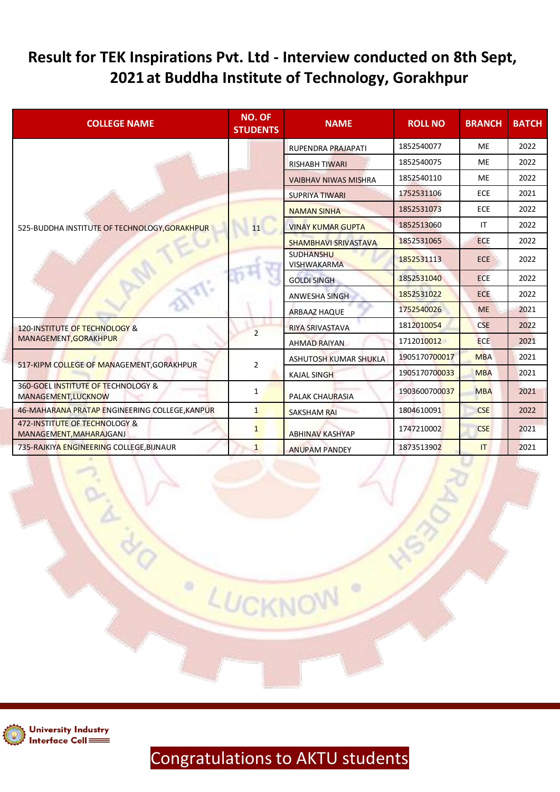#### **Result for TEK Inspirations Pvt. Ltd - Interview conducted on 8th Sept, 2021 at Buddha Institute of Technology, Gorakhpur**

| <b>COLLEGE NAME</b>                                                  | <b>NO. OF</b><br><b>STUDENTS</b> | <b>NAME</b>                            | <b>ROLL NO</b> | <b>BRANCH</b> | <b>BATCH</b> |
|----------------------------------------------------------------------|----------------------------------|----------------------------------------|----------------|---------------|--------------|
|                                                                      |                                  | RUPENDRA PRAJAPATI                     | 1852540077     | <b>ME</b>     | 2022         |
|                                                                      |                                  | <b>RISHABH TIWARI</b>                  | 1852540075     | <b>ME</b>     | 2022         |
|                                                                      |                                  | <b>VAIBHAV NIWAS MISHRA</b>            | 1852540110     | ME            | 2022         |
|                                                                      |                                  | <b>SUPRIYA TIWARI</b>                  | 1752531106     | <b>ECE</b>    | 2021         |
|                                                                      |                                  | <b>NAMAN SINHA</b>                     | 1852531073     | <b>ECE</b>    | 2022         |
| 525-BUDDHA INSTITUTE OF TECHNOLOGY, GORAKHPUR                        | 11                               | <b>VINAY KUMAR GUPTA</b>               | 1852513060     | IT            | 2022         |
|                                                                      |                                  | <b>SHAMBHAVI SRIVASTAVA</b>            | 1852531065     | <b>ECE</b>    | 2022         |
|                                                                      |                                  | <b>SUDHANSHU</b><br><b>VISHWAKARMA</b> | 1852531113     | <b>ECE</b>    | 2022         |
|                                                                      |                                  | <b>GOLDI SINGH</b>                     | 1852531040     | <b>ECE</b>    | 2022         |
|                                                                      |                                  | <b>ANWESHA SINGH</b>                   | 1852531022     | <b>ECE</b>    | 2022         |
|                                                                      |                                  | <b>ARBAAZ HAQUE</b>                    | 1752540026     | <b>ME</b>     | 2021         |
| 120-INSTITUTE OF TECHNOLOGY &                                        | $\overline{2}$                   | <b>RIYA SRIVASTAVA</b>                 | 1812010054     | <b>CSE</b>    | 2022         |
| MANAGEMENT, GORAKHPUR                                                |                                  | <b>AHMAD RAIYAN</b>                    | 1712010012     | <b>ECE</b>    | 2021         |
|                                                                      | $\overline{2}$                   | <b>ASHUTOSH KUMAR SHUKLA</b>           | 1905170700017  | <b>MBA</b>    | 2021         |
| 517-KIPM COLLEGE OF MANAGEMENT, GORAKHPUR                            |                                  | <b>KAJAL SINGH</b>                     | 1905170700033  | <b>MBA</b>    | 2021         |
| <b>360-GOEL INSTITUTE OF TECHNOLOGY &amp;</b><br>MANAGEMENT, LUCKNOW | 1                                | <b>PALAK CHAURASIA</b>                 | 1903600700037  | <b>MBA</b>    | 2021         |
| 46-MAHARANA PRATAP ENGINEERING COLLEGE, KANPUR                       | $\mathbf{1}$                     | <b>SAKSHAM RAI</b>                     | 1804610091     | <b>CSE</b>    | 2022         |
| 472-INSTITUTE OF TECHNOLOGY &<br>MANAGEMENT, MAHARAJGANJ             | $\mathbf{1}$                     | <b>ABHINAV KASHYAP</b>                 | 1747210002     | <b>CSE</b>    | 2021         |
| 735-RAJKIYA ENGINEERING COLLEGE, BIJNAUR                             | $\mathbf{1}$                     | <b>ANUPAM PANDEY</b>                   | 1873513902     | IT            | 2021         |



## Congratulations to AKTU students

LUCKNOW

۰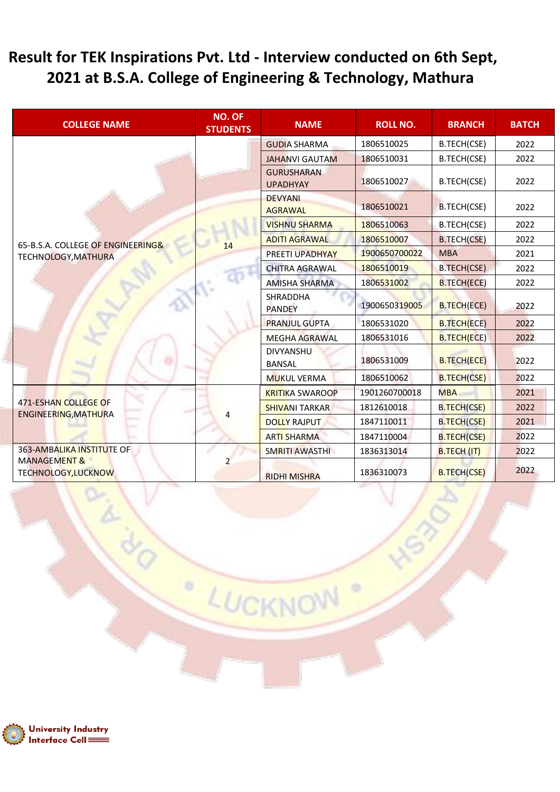#### **Result for TEK Inspirations Pvt. Ltd - Interview conducted on 6th Sept, 2021 at B.S.A. College of Engineering & Technology, Mathura**

| <b>COLLEGE NAME</b>                                  | <b>NO. OF</b><br><b>STUDENTS</b> | <b>NAME</b>                          | <b>ROLL NO.</b> | <b>BRANCH</b>      | <b>BATCH</b> |
|------------------------------------------------------|----------------------------------|--------------------------------------|-----------------|--------------------|--------------|
|                                                      |                                  | <b>GUDIA SHARMA</b>                  | 1806510025      | B.TECH(CSE)        | 2022         |
|                                                      |                                  | <b>JAHANVI GAUTAM</b>                | 1806510031      | B.TECH(CSE)        | 2022         |
|                                                      |                                  | <b>GURUSHARAN</b><br><b>UPADHYAY</b> | 1806510027      | B.TECH(CSE)        | 2022         |
|                                                      |                                  | <b>DEVYANI</b><br><b>AGRAWAL</b>     | 1806510021      | B.TECH(CSE)        | 2022         |
|                                                      |                                  | <b>VISHNU SHARMA</b>                 | 1806510063      | B.TECH(CSE)        | 2022         |
| 65-B.S.A. COLLEGE OF ENGINEERING&                    | 14                               | <b>ADITI AGRAWAL</b>                 | 1806510007      | <b>B.TECH(CSE)</b> | 2022         |
| TECHNOLOGY, MATHURA                                  |                                  | <b>PREETI UPADHYAY</b>               | 1900650700022   | <b>MBA</b>         | 2021         |
|                                                      |                                  | <b>CHITRA AGRAWAL</b>                | 1806510019      | <b>B.TECH(CSE)</b> | 2022         |
|                                                      |                                  | <b>AMISHA SHARMA</b>                 | 1806531002      | <b>B.TECH(ECE)</b> | 2022         |
|                                                      |                                  | <b>SHRADDHA</b><br><b>PANDEY</b>     | 1900650319005   | <b>B.TECH(ECE)</b> | 2022         |
|                                                      |                                  | <b>PRANJUL GUPTA</b>                 | 1806531020      | <b>B.TECH(ECE)</b> | 2022         |
|                                                      |                                  | <b>MEGHA AGRAWAL</b>                 | 1806531016      | <b>B.TECH(ECE)</b> | 2022         |
|                                                      |                                  | <b>DIVYANSHU</b><br><b>BANSAL</b>    | 1806531009      | <b>B.TECH(ECE)</b> | 2022         |
|                                                      |                                  | <b>MUKUL VERMA</b>                   | 1806510062      | <b>B.TECH(CSE)</b> | 2022         |
|                                                      |                                  | <b>KRITIKA SWAROOP</b>               | 1901260700018   | <b>MBA</b>         | 2021         |
| 471-ESHAN COLLEGE OF<br>ENGINEERING, MATHURA         |                                  | <b>SHIVANI TARKAR</b>                | 1812610018      | <b>B.TECH(CSE)</b> | 2022         |
|                                                      |                                  | <b>DOLLY RAJPUT</b>                  | 1847110011      | <b>B.TECH(CSE)</b> | 2021         |
|                                                      |                                  | <b>ARTI SHARMA</b>                   | 1847110004      | <b>B.TECH(CSE)</b> | 2022         |
| <b>363-AMBALIKA INSTITUTE OF</b>                     |                                  | SMRITI AWASTHI                       | 1836313014      | <b>B.TECH (IT)</b> | 2022         |
| <b>MANAGEMENT &amp;</b><br><b>TECHNOLOGY,LUCKNOW</b> | $\mathcal{P}$                    | <b>RIDHI MISHRA</b>                  | 1836310073      | <b>B.TECH(CSE)</b> | 2022         |

LUCKNOW

 $\circ$ 



ł